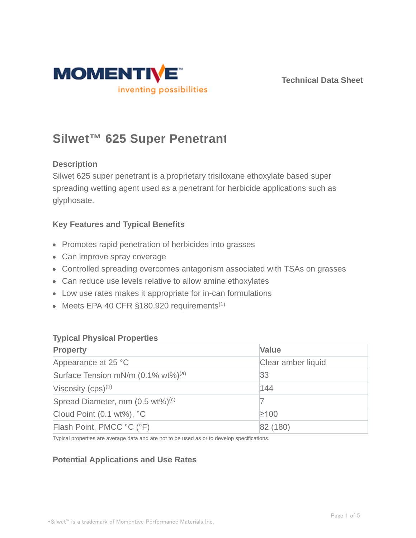

# **Silwet™ 625 Super Penetrant**

# **Description**

Silwet 625 super penetrant is a proprietary trisiloxane ethoxylate based super spreading wetting agent used as a penetrant for herbicide applications such as glyphosate.

# **Key Features and Typical Benefits**

- Promotes rapid penetration of herbicides into grasses
- Can improve spray coverage
- Controlled spreading overcomes antagonism associated with TSAs on grasses
- Can reduce use levels relative to allow amine ethoxylates
- Low use rates makes it appropriate for in-can formulations
- $\bullet$  Meets EPA 40 CFR §180.920 requirements<sup>(1)</sup>

# **Typical Physical Properties**

| <b>Property</b>                                | <b>Value</b>       |  |
|------------------------------------------------|--------------------|--|
| Appearance at 25 °C                            | Clear amber liquid |  |
| Surface Tension mN/m (0.1% wt%) <sup>(a)</sup> | 33                 |  |
| Viscosity $(cps)^{(b)}$                        | 144                |  |
| Spread Diameter, mm (0.5 wt%) <sup>(c)</sup>   |                    |  |
| Cloud Point $(0.1 wt\%)$ , °C                  | $≥100$             |  |
| Flash Point, PMCC °C (°F)                      | 82 (180)           |  |

Typical properties are average data and are not to be used as or to develop specifications.

# **Potential Applications and Use Rates**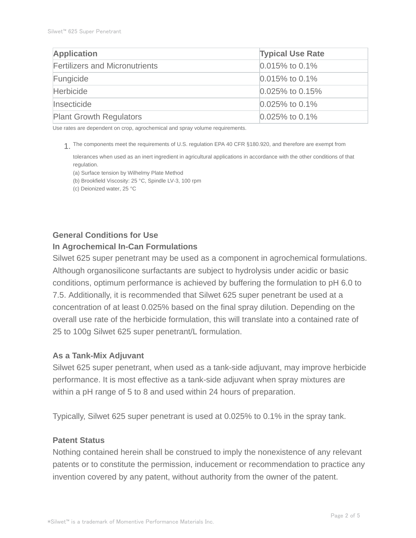| <b>Application</b>                    | <b>Typical Use Rate</b> |  |
|---------------------------------------|-------------------------|--|
| <b>Fertilizers and Micronutrients</b> | $0.015\%$ to 0.1%       |  |
| Fungicide                             | $0.015\%$ to 0.1%       |  |
| <b>Herbicide</b>                      | $0.025\%$ to 0.15%      |  |
| Insecticide                           | $0.025\%$ to 0.1%       |  |
| <b>Plant Growth Regulators</b>        | $0.025\%$ to 0.1%       |  |

Use rates are dependent on crop, agrochemical and spray volume requirements.

The components meet the requirements of U.S. regulation EPA 40 CFR §180.920, and therefore are exempt from 1.

tolerances when used as an inert ingredient in agricultural applications in accordance with the other conditions of that regulation.

(a) Surface tension by Wilhelmy Plate Method

(b) Brookfield Viscosity: 25 °C, Spindle LV-3, 100 rpm

(c) Deionized water, 25 °C

# **General Conditions for Use**

## **In Agrochemical In-Can Formulations**

Silwet 625 super penetrant may be used as a component in agrochemical formulations. Although organosilicone surfactants are subject to hydrolysis under acidic or basic conditions, optimum performance is achieved by buffering the formulation to pH 6.0 to 7.5. Additionally, it is recommended that Silwet 625 super penetrant be used at a concentration of at least 0.025% based on the final spray dilution. Depending on the overall use rate of the herbicide formulation, this will translate into a contained rate of 25 to 100g Silwet 625 super penetrant/L formulation.

#### **As a Tank-Mix Adjuvant**

Silwet 625 super penetrant, when used as a tank-side adjuvant, may improve herbicide performance. It is most effective as a tank-side adjuvant when spray mixtures are within a pH range of 5 to 8 and used within 24 hours of preparation.

Typically, Silwet 625 super penetrant is used at 0.025% to 0.1% in the spray tank.

#### **Patent Status**

Nothing contained herein shall be construed to imply the nonexistence of any relevant patents or to constitute the permission, inducement or recommendation to practice any invention covered by any patent, without authority from the owner of the patent.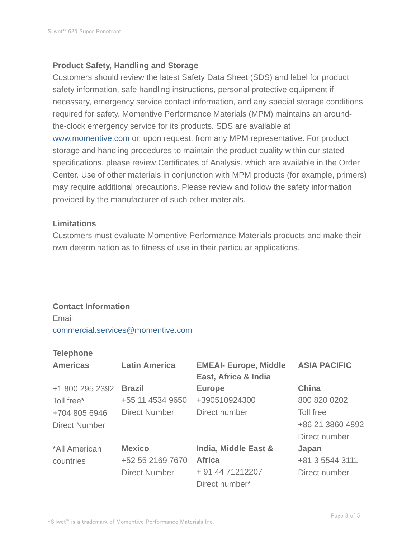## **Product Safety, Handling and Storage**

Customers should review the latest Safety Data Sheet (SDS) and label for product safety information, safe handling instructions, personal protective equipment if necessary, emergency service contact information, and any special storage conditions required for safety. Momentive Performance Materials (MPM) maintains an aroundthe-clock emergency service for its products. SDS are available at www.momentive.com or, upon request, from any MPM representative. For product storage and handling procedures to maintain the product quality within our stated specifications, please review Certificates of Analysis, which are available in the Order Center. Use of other materials in conjunction with MPM products (for example, primers) may require additional precautions. Please review and follow the safety information provided by the manufacturer of such other materials.

## **Limitations**

Customers must evaluate Momentive Performance Materials products and make their own determination as to fitness of use in their particular applications.

# **Contact Information**

Email commercial.services@momentive.com

#### **Telephone**

| <b>Americas</b>      | <b>Latin America</b> | <b>EMEAI- Europe, Middle</b><br>East, Africa & India | <b>ASIA PACIFIC</b> |
|----------------------|----------------------|------------------------------------------------------|---------------------|
| +1 800 295 2392      | <b>Brazil</b>        | <b>Europe</b>                                        | <b>China</b>        |
| Toll free*           | +55 11 4534 9650     | +390510924300                                        | 800 820 0202        |
| +704 805 6946        | <b>Direct Number</b> | Direct number                                        | Toll free           |
| <b>Direct Number</b> |                      |                                                      | +86 21 3860 4892    |
|                      |                      |                                                      | Direct number       |
| *All American        | <b>Mexico</b>        | India, Middle East &                                 | Japan               |
| countries            | +52 55 2169 7670     | <b>Africa</b>                                        | +81 3 5544 3111     |
|                      | <b>Direct Number</b> | + 91 44 71212207                                     | Direct number       |
|                      |                      | Direct number*                                       |                     |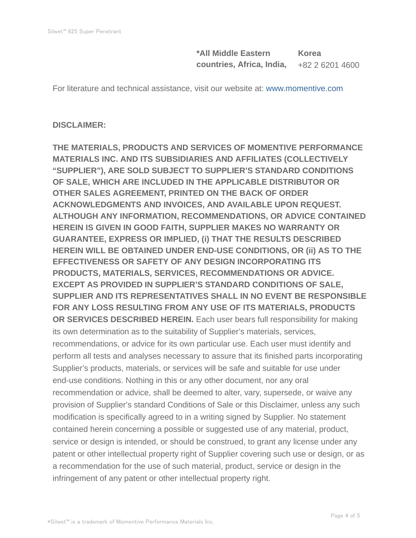**\*All Middle Eastern countries, Africa, India, Korea** +82 2 6201 4600

For literature and technical assistance, visit our website at: www.momentive.com

#### **DISCLAIMER:**

**THE MATERIALS, PRODUCTS AND SERVICES OF MOMENTIVE PERFORMANCE MATERIALS INC. AND ITS SUBSIDIARIES AND AFFILIATES (COLLECTIVELY "SUPPLIER"), ARE SOLD SUBJECT TO SUPPLIER'S STANDARD CONDITIONS OF SALE, WHICH ARE INCLUDED IN THE APPLICABLE DISTRIBUTOR OR OTHER SALES AGREEMENT, PRINTED ON THE BACK OF ORDER ACKNOWLEDGMENTS AND INVOICES, AND AVAILABLE UPON REQUEST. ALTHOUGH ANY INFORMATION, RECOMMENDATIONS, OR ADVICE CONTAINED HEREIN IS GIVEN IN GOOD FAITH, SUPPLIER MAKES NO WARRANTY OR GUARANTEE, EXPRESS OR IMPLIED, (i) THAT THE RESULTS DESCRIBED HEREIN WILL BE OBTAINED UNDER END-USE CONDITIONS, OR (ii) AS TO THE EFFECTIVENESS OR SAFETY OF ANY DESIGN INCORPORATING ITS PRODUCTS, MATERIALS, SERVICES, RECOMMENDATIONS OR ADVICE. EXCEPT AS PROVIDED IN SUPPLIER'S STANDARD CONDITIONS OF SALE, SUPPLIER AND ITS REPRESENTATIVES SHALL IN NO EVENT BE RESPONSIBLE FOR ANY LOSS RESULTING FROM ANY USE OF ITS MATERIALS, PRODUCTS OR SERVICES DESCRIBED HEREIN.** Each user bears full responsibility for making its own determination as to the suitability of Supplier's materials, services, recommendations, or advice for its own particular use. Each user must identify and perform all tests and analyses necessary to assure that its finished parts incorporating Supplier's products, materials, or services will be safe and suitable for use under end-use conditions. Nothing in this or any other document, nor any oral recommendation or advice, shall be deemed to alter, vary, supersede, or waive any provision of Supplier's standard Conditions of Sale or this Disclaimer, unless any such modification is specifically agreed to in a writing signed by Supplier. No statement contained herein concerning a possible or suggested use of any material, product, service or design is intended, or should be construed, to grant any license under any patent or other intellectual property right of Supplier covering such use or design, or as a recommendation for the use of such material, product, service or design in the infringement of any patent or other intellectual property right.